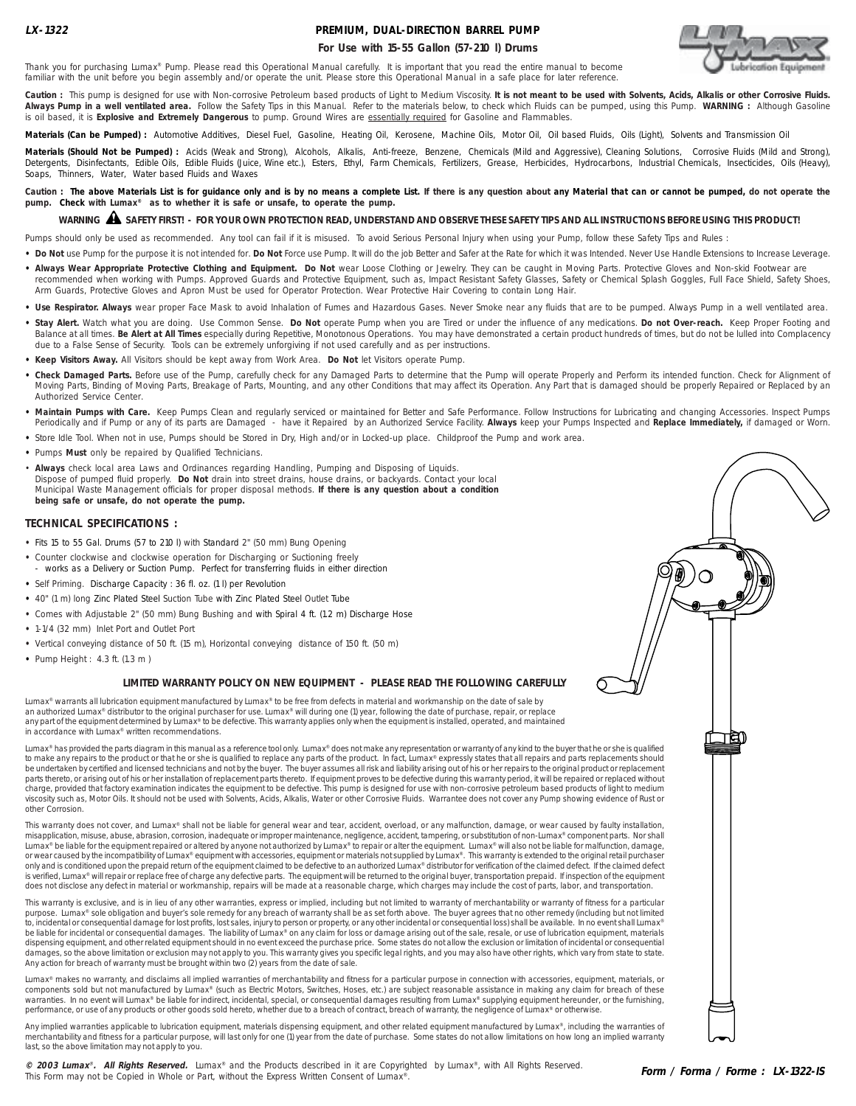## **PREMIUM, DUAL-DIRECTION BARREL PUMP**

## **For Use with 15-55 Gallon (57-210 l) Drums**



Thank you for purchasing Lumax® Pump. Please read this Operational Manual carefully. It is important that you read the entire manual to become familiar with the unit before you begin assembly and/or operate the unit. Please store this Operational Manual in a safe place for later reference.

Caution : This pump is designed for use with Non-corrosive Petroleum based products of Light to Medium Viscosity. It is not meant to be used with Solvents, Acids, Alkalis or other Corrosive Fluids. **Always Pump in a well ventilated area.** Follow the Safety Tips in this Manual. Refer to the materials below, to check which Fluids can be pumped, using this Pump. **WARNING :** Although Gasoline is oil based, it is **Explosive and Extremely Dangerous** to pump. Ground Wires are essentially required for Gasoline and Flammables.

Materials (Can be Pumped) : Automotive Additives, Diesel Fuel, Gasoline, Heating Oil, Kerosene, Machine Oils, Motor Oil, Oil based Fluids, Oils (Light), Solvents and Transmission Oil

Materials (Should Not be Pumped) : Acids (Weak and Strong), Alcohols, Alkalis, Anti-freeze, Benzene, Chemicals (Mild and Aggressive), Cleaning Solutions, Corrosive Fluids (Mild and Strong), Detergents, Disinfectants, Edible Oils, Edible Fluids (Juice, Wine etc.), Esters, Ethyl, Farm Chemicals, Fertilizers, Grease, Herbicides, Hydrocarbons, Industrial Chemicals, Insecticides, Oils (Heavy), Soaps, Thinners, Water, Water based Fluids and Waxes

Caution : The above Materials List is for guidance only and is by no means a complete List. If there is any question about any Material that can or cannot be pumped, do not operate the **pump. Check with Lumax® as to whether it is safe or unsafe, to operate the pump.**

# **WARNING SAFETY FIRST! - FOR YOUR OWN PROTECTION READ, UNDERSTAND AND OBSERVE THESE SAFETY TIPS AND ALL INSTRUCTIONS BEFORE USING THIS PRODUCT!** !

Pumps should only be used as recommended. Any tool can fail if it is misused. To avoid Serious Personal Injury when using your Pump, follow these Safety Tips and Rules :

- . Do Not use Pump for the purpose it is not intended for. Do Not Force use Pump. It will do the job Better and Safer at the Rate for which it was Intended. Never Use Handle Extensions to Increase Leverage.
- . Always Wear Appropriate Protective Clothing and Equipment. Do Not wear Loose Clothing or Jewelry. They can be caught in Moving Parts. Protective Gloves and Non-skid Footwear are recommended when working with Pumps. Approved Guards and Protective Equipment, such as, Impact Resistant Safety Glasses, Safety or Chemical Splash Goggles, Full Face Shield, Safety Shoes, Arm Guards, Protective Gloves and Apron Must be used for Operator Protection. Wear Protective Hair Covering to contain Long Hair.
- Use Respirator. Always wear proper Face Mask to avoid Inhalation of Fumes and Hazardous Gases. Never Smoke near any fluids that are to be pumped. Always Pump in a well ventilated area.
- **• Stay Alert.** Watch what you are doing. Use Common Sense. **Do Not** operate Pump when you are Tired or under the influence of any medications. **Do not Over-reach.** Keep Proper Footing and Balance at all times. **Be Alert at All Times** especially during Repetitive, Monotonous Operations. You may have demonstrated a certain product hundreds of times, but do not be lulled into Complacency due to a False Sense of Security. Tools can be extremely unforgiving if not used carefully and as per instructions.
- **• Keep Visitors Away.** All Visitors should be kept away from Work Area. **Do Not** let Visitors operate Pump.
- **• Check Damaged Parts.** Before use of the Pump, carefully check for any Damaged Parts to determine that the Pump will operate Properly and Perform its intended function. Check for Alignment of Moving Parts, Binding of Moving Parts, Breakage of Parts, Mounting, and any other Conditions that may affect its Operation. Any Part that is damaged should be properly Repaired or Replaced by an Authorized Service Center.
- **• Maintain Pumps with Care.** Keep Pumps Clean and regularly serviced or maintained for Better and Safe Performance. Follow Instructions for Lubricating and changing Accessories. Inspect Pumps Periodically and if Pump or any of its parts are Damaged - have it Repaired by an Authorized Service Facility. **Always** keep your Pumps Inspected and **Replace Immediately,** if damaged or Worn.
- **•** Store Idle Tool. When not in use, Pumps should be Stored in Dry, High and/or in Locked-up place. Childproof the Pump and work area.
- **•** Pumps **Must** only be repaired by Qualified Technicians.
- **Always** check local area Laws and Ordinances regarding Handling, Pumping and Disposing of Liquids. Dispose of pumped fluid properly. **Do Not** drain into street drains, house drains, or backyards. Contact your local Municipal Waste Management officials for proper disposal methods. **If there is any question about a condition being safe or unsafe, do not operate the pump.**

### **TECHNICAL SPECIFICATIONS :**

- **•** Fits 15 to 55 Gal. Drums (57 to 210 l) with Standard 2" (50 mm) Bung Opening
- **•** Counter clockwise and clockwise operation for Discharging or Suctioning freely works as a Delivery or Suction Pump. Perfect for transferring fluids in either direction
- **•** Self Priming. Discharge Capacity : 36 fl. oz. (1 l) per Revolution
- **•** 40" (1 m) long Zinc Plated Steel Suction Tube with Zinc Plated Steel Outlet Tube
- **•** Comes with Adjustable 2" (50 mm) Bung Bushing and with Spiral 4 ft. (1.2 m) Discharge Hose
- **•** 1-1/4 (32 mm) Inlet Port and Outlet Port
- **•** Vertical conveying distance of 50 ft. (15 m), Horizontal conveying distance of 150 ft. (50 m)
- **•** Pump Height : 4.3 ft. (1.3 m )

### **LIMITED WARRANTY POLICY ON NEW EQUIPMENT - PLEASE READ THE FOLLOWING CAREFULLY**

Lumax<sup>®</sup> warrants all lubrication equipment manufactured by Lumax<sup>®</sup> to be free from defects in material and workmanship on the date of sale by an authorized Lumax® distributor to the original purchaser for use. Lumax® will during one (1) year, following the date of purchase, repair, or replace any part of the equipment determined by Lumax® to be defective. This warranty applies only when the equipment is installed, operated, and maintained in accordance with Lumax® written recommendations.

Lumax® has provided the parts diagram in this manual as a reference tool only. Lumax® does not make any representation or warranty of any kind to the buyer that he or she is qualified to make any repairs to the product or that he or she is qualified to replace any parts of the product. In fact, Lumax® expressly states that all repairs and parts replacements should be undertaken by certified and licensed technicians and not by the buyer. The buyer assumes all risk and liability arising out of his or her repairs to the original product or replacement<br>parts thereto, or arising out of h charge, provided that factory examination indicates the equipment to be defective. This pump is designed for use with non-corrosive petroleum based products of light to medium viscosity such as, Motor Oils. It should not be used with Solvents, Acids, Alkalis, Water or other Corrosive Fluids. Warrantee does not cover any Pump showing evidence of Rust or other Corrosion.

This warranty does not cover, and Lumax® shall not be liable for general wear and tear, accident, overload, or any malfunction, damage, or wear caused by faulty installation, misapplication, misuse, abuse, abrasion, corrosion, inadequate or improper maintenance, negligence, accident, tampering, or substitution of non-Lumax® component parts. Nor shall<br>Lumax® be liable for the equipment repaired or wear caused by the incompatibility of Lumax® equipment with accessories, equipment or materials not supplied by Lumax®. This warranty is extended to the original retail purchaser only and is conditioned upon the prepaid return of the equipment claimed to be defective to an authorized Lumax® distributor for verification of the claimed defect. If the claimed defect is verified, Lumax® will repair or replace free of charge any defective parts. The equipment will be returned to the original buyer, transportation prepaid. If inspection of the equipment does not disclose any defect in material or workmanship, repairs will be made at a reasonable charge, which charges may include the cost of parts, labor, and transportation.

This warranty is exclusive, and is in lieu of any other warranties, express or implied, including but not limited to warranty of merchantability or warranty of fitness for a particular purpose. Lumax® sole obligation and buyer's sole remedy for any breach of warranty shall be as set forth above. The buyer agrees that no other remedy (including but not limited purpose. Edition soil bongalon and buyers sone renewly for any products, and many products of person the approach or consequential loss) shall be available. In no event shall Lumax® be liable for incidental or consequential damages. The liability of Lumax® on any claim for loss or damage arising out of the sale, resale, or use of lubrication equipment, materials dispensing equipment, and other related equipment should in no event exceed the purchase price. Some states do not allow the exclusion or limitation of incidental or consequential damages, so the above limitation or exclusion may not apply to you. This warranty gives you specific legal rights, and you may also have other rights, which vary from state to state.<br>Any action for breach of warranty must

Lumax® makes no warranty, and disclaims all implied warranties of merchantability and fitness for a particular purpose in connection with accessories, equipment, materials, or components sold but not manufactured by Lumax® (such as Electric Motors, Switches, Hoses, etc.) are subject reasonable assistance in making any claim for breach of these warranties. In no event will Lumax® be liable for indirect, incidental, special, or consequential damages resulting from Lumax® supplying equipment hereunder, or the furnishing, performance, or use of any products or other goods sold hereto, whether due to a breach of contract, breach of warranty, the negligence of Lumax® or otherwise

Any implied warranties applicable to lubrication equipment, materials dispensing equipment, and other related equipment manufactured by Lumax®, including the warranties of merchantability and fitness for a particular purpose, will last only for one (1) year from the date of purchase. Some states do not allow limitations on how long an implied warranty last, so the above limitation may not apply to you.

**© 2003 Lumax**® **. All Rights Reserved.** Lumax® and the Products described in it are Copyrighted by Lumax®, with All Rights Reserved. This Form may not be Copied in Whole or Part, without the Express Written Consent of Lumax®.

Jğ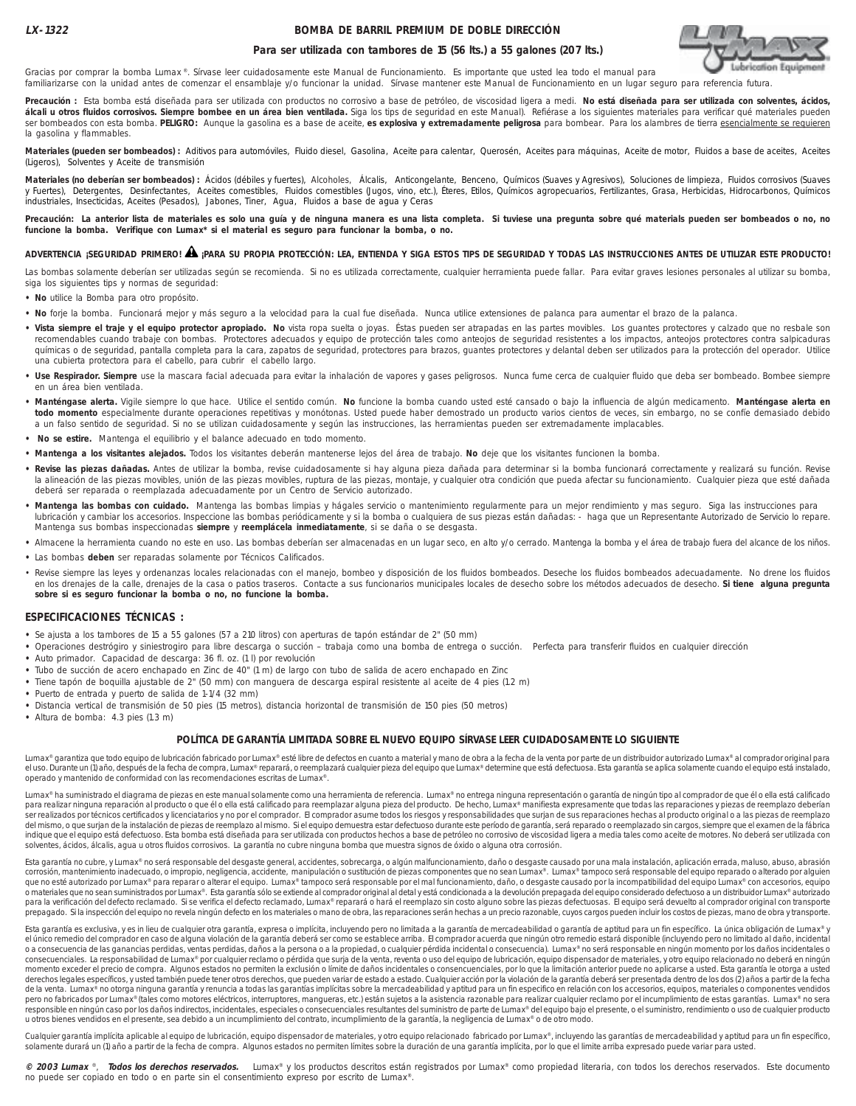### **BOMBA DE BARRIL PREMIUM DE DOBLE DIRECCIÓN**



### **Para ser utilizada con tambores de 15 (56 lts.) a 55 galones (207 lts.)**

Gracias por comprar la bomba Lumax ®. Sírvase leer cuidadosamente este Manual de Funcionamiento. Es importante que usted lea todo el manual para familiarizarse con la unidad antes de comenzar el ensamblaje y/o funcionar la unidad. Sírvase mantener este Manual de Funcionamiento en un lugar seguro para referencia futura.

**Precaución :** Esta bomba está diseñada para ser utilizada con productos no corrosivo a base de petróleo, de viscosidad ligera a medi. **No está diseñada para ser utilizada con solventes, ácidos,** álcali u otros fluidos corrosivos. Siempre bombee en un área bien ventilada. Siga los tips de seguridad en este Manual). Refiérase a los siguientes materiales para verificar qué materiales pueden ser bombeados con esta bomba. **PELIGRO:** Aunque la gasolina es a base de aceite, **es explosiva y extremadamente peligrosa** para bombear. Para los alambres de tierra esencialmente se requieren la gasolina y flammables.

Materiales (pueden ser bombeados) : Aditivos para automóviles, Fluido diesel, Gasolina, Aceite para calentar, Querosén, Aceites para máquinas, Aceite de motor, Fluidos a base de aceites, Aceites, Aceites (Ligeros), Solventes y Aceite de transmisión

Materiales (no deberían ser bombeados) : Ácidos (débiles y fuertes), Alcoholes, Álcalis, Anticongelante, Benceno, Químicos (Suaves y Agresivos), Soluciones de limpieza, Fluidos corrosivos (Suaves y Fuertes), Detergentes, Desinfectantes, Aceites comestibles, Fluidos comestibles (Jugos, vino, etc.), Éteres, Etilos, Químicos agropecuarios, Fertilizantes, Grasa, Herbicidas, Hidrocarbonos, Químicos industriales, Insecticidas, Aceites (Pesados), Jabones, Tiner, Agua, Fluidos a base de agua y Ceras

Precaución: La anterior lista de materiales es solo una guía y de ninguna manera es una lista completa. Si tuviese una pregunta sobre qué materials pueden ser bombeados o no, no **funcione la bomba. Verifique con Lumax\* si el material es seguro para funcionar la bomba, o no.**

# **ADVERTENCIA ¡SEGURIDAD PRIMERO! ¡PARA SU PROPIA PROTECCIÓN: LEA, ENTIENDA Y SIGA ESTOS TIPS DE SEGURIDAD Y TODAS LAS INSTRUCCIONES ANTES DE UTILIZAR ESTE PRODUCTO!** !

Las bombas solamente deberían ser utilizadas según se recomienda. Si no es utilizada correctamente, cualquier herramienta puede fallar. Para evitar graves lesiones personales al utilizar su bomba, siga los siguientes tips y normas de seguridad:

- **No** utilice la Bomba para otro propósito.
- **No** forje la bomba. Funcionará mejor y más seguro a la velocidad para la cual fue diseñada. Nunca utilice extensiones de palanca para aumentar el brazo de la palanca.
- **Vista siempre el traje y el equipo protector apropiado. No** vista ropa suelta o joyas. Éstas pueden ser atrapadas en las partes movibles. Los guantes protectores y calzado que no resbale son recomendables cuando trabaje con bombas. Protectores adecuados y equipo de protección tales como anteojos de seguridad resistentes a los impactos, anteojos protectores contra salpicaduras químicas o de seguridad, pantalla completa para la cara, zapatos de seguridad, protectores para brazos, guantes protectores y delantal deben ser utilizados para la protección del operador. Utilice una cubierta protectora para el cabello, para cubrir el cabello largo.
- · Use Respirador. Siempre use la mascara facial adecuada para evitar la inhalación de vapores y gases peligrosos. Nunca fume cerca de cualquier fluido que deba ser bombeado. Bombee siempre en un área bien ventilada.
- **Manténgase alerta.** Vigile siempre lo que hace. Utilice el sentido común. **No** funcione la bomba cuando usted esté cansado o bajo la influencia de algún medicamento. **Manténgase alerta en todo momento** especialmente durante operaciones repetitivas y monótonas. Usted puede haber demostrado un producto varios cientos de veces, sin embargo, no se confíe demasiado debido a un falso sentido de seguridad. Si no se utilizan cuidadosamente y según las instrucciones, las herramientas pueden ser extremadamente implacables.
- **No se estire.** Mantenga el equilibrio y el balance adecuado en todo momento.
- **Mantenga a los visitantes alejados.** Todos los visitantes deberán mantenerse lejos del área de trabajo. **No** deje que los visitantes funcionen la bomba.
- **Revise las piezas dañadas.** Antes de utilizar la bomba, revise cuidadosamente si hay alguna pieza dañada para determinar si la bomba funcionará correctamente y realizará su función. Revise la alineación de las piezas movibles, unión de las piezas movibles, ruptura de las piezas, montaje, y cualquier otra condición que pueda afectar su funcionamiento. Cualquier pieza que esté dañada deberá ser reparada o reemplazada adecuadamente por un Centro de Servicio autorizado.
- **Mantenga las bombas con cuidado.** Mantenga las bombas limpias y hágales servicio o mantenimiento regularmente para un mejor rendimiento y mas seguro. Siga las instrucciones para lubricación y cambiar los accesorios. Inspeccione las bombas periódicamente y si la bomba o cualquiera de sus piezas están dañadas: - haga que un Representante Autorizado de Servicio lo repare. Mantenga sus bombas inspeccionadas **siempre** y **reemplácela inmediatamente**, si se daña o se desgasta.
- **•** Almacene la herramienta cuando no este en uso. Las bombas deberían ser almacenadas en un lugar seco, en alto y/o cerrado. Mantenga la bomba y el área de trabajo fuera del alcance de los niños.
- **•** Las bombas **deben** ser reparadas solamente por Técnicos Calificados.
- Revise siempre las leyes y ordenanzas locales relacionadas con el manejo, bombeo y disposición de los fluidos bombeados. Deseche los fluidos bombeados adecuadamente. No drene los fluidos en los drenajes de la calle, drenajes de la casa o patios traseros. Contacte a sus funcionarios municipales locales de desecho sobre los métodos adecuados de desecho. **Si tiene alguna pregunta sobre si es seguro funcionar la bomba o no, no funcione la bomba.**

### **ESPECIFICACIONES TÉCNICAS :**

- **•** Se ajusta a los tambores de 15 a 55 galones (57 a 210 litros) con aperturas de tapón estándar de 2" (50 mm)
- **•** Operaciones destrógiro y siniestrogiro para libre descarga o succión trabaja como una bomba de entrega o succión. Perfecta para transferir fluidos en cualquier dirección
- **•** Auto primador. Capacidad de descarga: 36 fl. oz. (1 l) por revolución
- **•** Tubo de succión de acero enchapado en Zinc de 40" (1 m) de largo con tubo de salida de acero enchapado en Zinc
- **•** Tiene tapón de boquilla ajustable de 2" (50 mm) con manguera de descarga espiral resistente al aceite de 4 pies (1.2 m)
- **•** Puerto de entrada y puerto de salida de 1-1/4 (32 mm)
- **•** Distancia vertical de transmisión de 50 pies (15 metros), distancia horizontal de transmisión de 150 pies (50 metros)
- **•** Altura de bomba: 4.3 pies (1.3 m)

### **POLÍTICA DE GARANTÍA LIMITADA SOBRE EL NUEVO EQUIPO SÍRVASE LEER CUIDADOSAMENTE LO SIGUIENTE**

Lumax® garantiza que todo equipo de lubricación fabricado por Lumax® esté libre de defectos en cuanto a material y mano de obra a la fecha de la venta por parte de un distribuidor autorizado Lumax® al comprador original pa el uso. Durante un (1) año, después de la fecha de compra, Lumax® reparará, o reemplazará cualquier pieza del equipo que Lumax® determine que está defectuosa. Esta garantía se aplica solamente cuando el equipo está instala operado y mantenido de conformidad con las recomendaciones escritas de Lumax®.

Lumax® ha suministrado el diagrama de piezas en este manual solamente como una herramienta de referencia. Lumax® no entrega ninguna representación o garantía de ningún tipo al comprador de que él o ella está calificado para realizar ninguna reparación al producto o que él o ella está calificado para reemplazar alguna pieza del producto. De hecho, Lumax® manifiesta expresamente que todas las reparaciones y piezas de reemplazo deberían<br>se del mismo, o que surjan de la instalación de piezas de reemplazo al mismo. Si el equipo demuestra estar defectuoso durante este período de garantía, será reparado o reemplazado sin cargos, siempre que el examen de la fábri indique que el equipo está defectuoso. Esta bomba está diseñada para ser utilizada con productos hechos a base de petróleo no corrosivo de viscosidad ligera a media tales como aceite de motores. No deberá ser utilizada con solventes, ácidos, álcalis, agua u otros fluidos corrosivos. La garantía no cubre ninguna bomba que muestra signos de óxido o alguna otra corrosión.

Esta garantía no cubre, y Lumax® no será responsable del desgaste general, accidentes, sobrecarga, o algún malfuncionamiento, daño o desgaste causado por una mala instalación, aplicación errada, maluso, abuso, abrasión corrosión, mantenimiento inadecuado, o impropio, negligencia, accidente, manipulación o sustitución de piezas componentes que no sean Lumax®. Lumax® tampoco será responsable del equipo reparado o alterado por alguien<br>que n o materiales que no sean suministrados por Lumax®. Esta garantia sólo se extiende al comprador original al detal y está condicionada a la devolución prepagada del equipo considerado defectuoso a un distribuidor Lumax® auto para la verificación del defecto reclamado. Si se verifica el defecto reclamado, Lumax® reparará o hará el reemplazo sin costo alguno sobre las piezas defectuosas. El equipo será devuelto al comprador original con transpor prepagado. Si la inspección del equipo no revela ningún defecto en los materiales o mano de obra, las reparaciones serán hechas a un precio razonable, cuyos cargos pueden incluir los costos de piezas, mano de obra y transp

Esta garantía es exclusiva, y es in lieu de cualquier otra garantía, expresa o implícita, incluyendo pero no limitada a la garantía de mercadeabilidad o garantía de aptitud para un fin específico. La única obligación de Lu el único remedio del comprador en caso de alguna violación de la garantía deberá ser como se establece arriba. El comprador acuerda que ningún otro remedio estará disponible (incluyendo pero no limitado al daño, incidental o a consecuencia de las ganancias perdidas, ventas perdidas, daños a la persona o a la propiedad, o cualquier pérdida incidental o consecuencia). Lumax® no será responsable en ningún momento por los daños incidentales o consecuenciales. La responsabilidad de Lumax® por cualquier reclamo o pérdida que surja de la venta, reventa o uso del equipo de lubricación, equipo nispensador de materiales, y otro equipo relacionado no deberá en ningún<br> derechos legales específicos, y usted también puede tener otros derechos, que pueden variar de estado a estado. Cualquier acción por la violación de la garantía deberá ser presentada dentro de los dos (2) años a partir de de la venta. Lumax® no otorga ninguna garantía y renuncia a todas las garantías implícitas sobre la mercadeabilidad y aptitud para un fin especifico en relación con los accesorios, equipos, materiales o componentes vendido responsible en ningún caso por los daños indirectos, incidentales, especiales o consecuenciales resultantes del suministro de parte de Lumax® del equipo bajo el presente, o el suministro, rendimiento o uso de cualquier pro u otros bienes vendidos en el presente, sea debido a un incumplimiento del contrato, incumplimiento de la garantía, la negligencia de Lumax® o de otro modo.

Cualquier garantía implícita aplicable al equipo de lubricación, equipo dispensador de materiales, y otro equipo relacionado fabricado por Lumax®, incluyendo las garantías de mercadeabilidad y aptitud para un fin específic solamente durará un (1) año a partir de la fecha de compra. Algunos estados no permiten límites sobre la duración de una garantía implícita, por lo que el limite arriba expresado puede variar para usted

**© 2003 Lumax** ®, **Todos los derechos reservados.** Lumax® y los productos descritos están registrados por Lumax® como propiedad literaria, con todos los derechos reservados. Este documento no puede ser copiado en todo o en parte sin el consentimiento expreso por escrito de Lumax®.